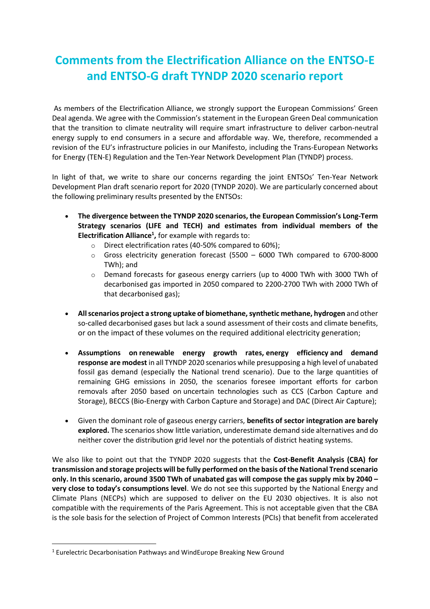## **Comments from the Electrification Alliance on the ENTSO-E and ENTSO-G draft TYNDP 2020 scenario report**

As members of the Electrification Alliance, we strongly support the European Commissions' Green Deal agenda. We agree with the Commission's statement in the European Green Deal communication that the transition to climate neutrality will require smart infrastructure to deliver carbon-neutral energy supply to end consumers in a secure and affordable way. We, therefore, recommended a revision of the EU's infrastructure policies in our Manifesto, including the Trans-European Networks for Energy (TEN-E) Regulation and the Ten-Year Network Development Plan (TYNDP) process.

In light of that, we write to share our concerns regarding the joint ENTSOs' Ten-Year Network Development Plan draft scenario report for 2020 (TYNDP 2020). We are particularly concerned about the following preliminary results presented by the ENTSOs:

- **The divergence between the TYNDP 2020 scenarios, the European Commission's Long-Term Strategy scenarios (LIFE and TECH) and estimates from individual members of the Electrification Alliance<sup>1</sup> ,** for example with regards to:
	- o Direct electrification rates (40-50% compared to 60%);
	- $\circ$  Gross electricity generation forecast (5500 6000 TWh compared to 6700-8000 TWh); and
	- o Demand forecasts for gaseous energy carriers (up to 4000 TWh with 3000 TWh of decarbonised gas imported in 2050 compared to 2200-2700 TWh with 2000 TWh of that decarbonised gas);
- **All scenarios project a strong uptake of biomethane, synthetic methane, hydrogen** and other so-called decarbonised gases but lack a sound assessment of their costs and climate benefits, or on the impact of these volumes on the required additional electricity generation;
- **Assumptions on renewable energy growth rates, energy efficiency and demand response are modest** in all TYNDP 2020 scenarios while presupposing a high level of unabated fossil gas demand (especially the National trend scenario). Due to the large quantities of remaining GHG emissions in 2050, the scenarios foresee important efforts for carbon removals after 2050 based on uncertain technologies such as CCS (Carbon Capture and Storage), BECCS (Bio-Energy with Carbon Capture and Storage) and DAC (Direct Air Capture);
- Given the dominant role of gaseous energy carriers, **benefits of sector integration are barely explored.** The scenarios show little variation, underestimate demand side alternatives and do neither cover the distribution grid level nor the potentials of district heating systems.

We also like to point out that the TYNDP 2020 suggests that the **Cost-Benefit Analysis (CBA) for transmission and storage projects will be fully performed on the basis of the National Trend scenario only. In this scenario, around 3500 TWh of unabated gas will compose the gas supply mix by 2040 – very close to today's consumptions level**. We do not see this supported by the National Energy and Climate Plans (NECPs) which are supposed to deliver on the EU 2030 objectives. It is also not compatible with the requirements of the Paris Agreement. This is not acceptable given that the CBA is the sole basis for the selection of Project of Common Interests (PCIs) that benefit from accelerated

 $\overline{a}$ 

<sup>1</sup> Eurelectric Decarbonisation Pathways and WindEurope Breaking New Ground